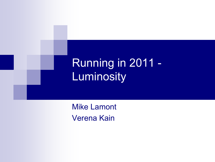# Running in 2011 -Luminosity

Mike Lamont Verena Kain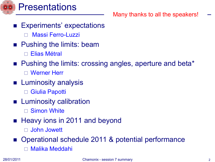

### **Presentations**

Many thanks to all the speakers!

- Experiments' expectations
	- Massi Ferro-Luzzi
- **Pushing the limits: beam** 
	- Elias Métral
- Pushing the limits: crossing angles, aperture and beta\*
	- Werner Herr
- **Luminosity analysis** 
	- □ Giulia Papotti
- **Luminosity calibration** 
	- □ Simon White
- Heavy ions in 2011 and beyond
	- John Jowett
- Operational schedule 2011 & potential performance
	- Malika Meddahi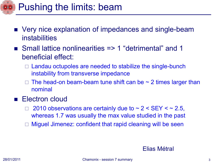

- Very nice explanation of impedances and single-beam instabilities
- Small lattice nonlinearities => 1 "detrimental" and 1 beneficial effect:
	- $\Box$  Landau octupoles are needed to stabilize the single-bunch instability from transverse impedance
	- The head-on beam-beam tune shift can be  $\sim$  2 times larger than nominal
- Electron cloud
	- 2010 observations are certainly due to  $\sim$  2 < SEY <  $\sim$  2.5, whereas 1.7 was usually the max value studied in the past
	- Miguel Jimenez: confident that rapid cleaning will be seen

#### Elias Métral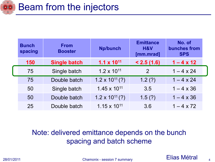

| <b>Bunch</b><br>spacing | <b>From</b><br><b>Booster</b> | <b>Np/bunch</b>          | <b>Emittance</b><br>H&V<br>[mm.mrad] | No. of<br>bunches from<br><b>SPS</b> |  |
|-------------------------|-------------------------------|--------------------------|--------------------------------------|--------------------------------------|--|
| 150                     | <b>Single batch</b>           | $1.1 \times 10^{11}$     | < 2.5(1.6)                           | $1 - 4 \times 12$                    |  |
| 75                      | Single batch                  | $1.2 \times 10^{11}$     | 2                                    | $1 - 4 \times 24$                    |  |
| 75                      | Double batch                  | $1.2 \times 10^{11}$ (?) | 1.2(?)                               | $1 - 4 \times 24$                    |  |
| 50                      | Single batch                  | $1.45 \times 10^{11}$    | 3.5                                  | $1 - 4 \times 36$                    |  |
| 50                      | Double batch                  | $1.2 \times 10^{11}$ (?) | 1.5(?)                               | $1 - 4 \times 36$                    |  |
| 25                      | Double batch                  | $1.15 \times 10^{11}$    | 3.6                                  | $1 - 4 \times 72$                    |  |

### Note: delivered emittance depends on the bunch spacing and batch scheme

28/01/2011 **Chamonix - session 7 summary Contract Contract Contract Contract Contract Contract Contract Contract**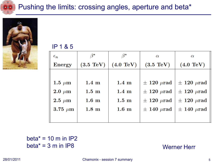



IP 1 & 5

| $\epsilon_n$  | ß*                  | $\beta^*$           | $\alpha$            | $\alpha$            |
|---------------|---------------------|---------------------|---------------------|---------------------|
| Energy        | $(3.5 \text{ TeV})$ | $(4.0 \text{ TeV})$ | $(3.5 \text{ TeV})$ | $(4.0 \text{ TeV})$ |
|               |                     |                     |                     |                     |
| 1.5 $\mu$ m   | $1.4~\mathrm{m}$    | $1.4~\mathrm{m}$    | $\pm$ 120 $\mu$ rad | $\pm$ 120 $\mu$ rad |
| $2.0 \ \mu m$ | $1.5~\mathrm{m}$    | $1.4~\mathrm{m}$    | $\pm$ 120 $\mu$ rad | $\pm$ 120 $\mu$ rad |
| $2.5 \mu m$   | $1.6 \text{ m}$     | $1.5 \text{ m}$     | $\pm$ 120 $\mu$ rad | $\pm$ 120 $\mu$ rad |
| $3.75 \mu m$  | $1.8~\mathrm{m}$    | $1.6 \text{ m}$     | $\pm$ 140 $\mu$ rad | $\pm$ 140 $\mu$ rad |
|               |                     |                     |                     |                     |

beta $* = 10$  m in IP2  $beta* = 3 m in IP8$ 

Werner Herr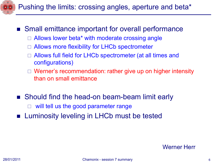

### ■ Small emittance important for overall performance

- $\Box$  Allows lower beta\* with moderate crossing angle
- Allows more flexibility for LHCb spectrometer
- Allows full field for LHCb spectrometer (at all times and configurations)
- □ Werner's recommendation: rather give up on higher intensity than on small emittance
- Should find the head-on beam-beam limit early
	- will tell us the good parameter range
- **Example 12 Luminosity leveling in LHCb must be tested**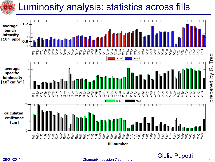## Luminosity analysis: statistics across fills



28/01/2011 Chamonix - session 7 summary

Giulia Papotti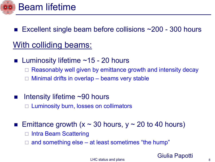

- **Excellent single beam before collisions**  $\sim$  **200 300 hours**
- With colliding beams:
- **Luminosity lifetime**  $~15$  **20 hours**  Reasonably well given by emittance growth and intensity decay Minimal drifts in overlap – beams very stable
- Intensity lifetime ~90 hours Luminosity burn, losses on collimators

**Emittance growth (x ~ 30 hours, y ~ 20 to 40 hours)** 

- Intra Beam Scattering
- and something else at least sometimes "the hump"

Giulia Papotti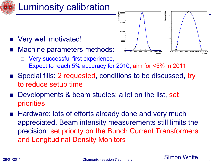

- Very well motivated!
- Machine parameters methods:
	- Very successful first experience, Expect to reach 5% accuracy for 2010, aim for <5% in 2011
- Special fills: 2 requested, conditions to be discussed, try to reduce setup time
- Developments & beam studies: a lot on the list, set priorities
- Hardware: lots of efforts already done and very much appreciated. Beam intensity measurements still limits the precision: set priority on the Bunch Current Transformers and Longitudinal Density Monitors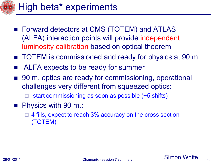# High beta\* experiments

- Forward detectors at CMS (TOTEM) and ATLAS (ALFA) interaction points will provide independent luminosity calibration based on optical theorem
- TOTEM is commissioned and ready for physics at 90 m
- ALFA expects to be ready for summer
- 90 m. optics are ready for commissioning, operational challenges very different from squeezed optics:
	- start commissioning as soon as possible (~5 shifts)
- **Physics with 90 m.:** 
	- 4 fills, expect to reach 3% accuracy on the cross section (TOTEM)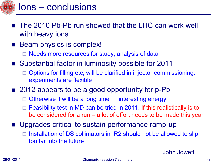

### Ions – conclusions

- **The 2010 Pb-Pb run showed that the LHC can work well** with heavy ions
- **Beam physics is complex!** 
	- Needs more resources for study, analysis of data
- Substantial factor in luminosity possible for 2011
	- Options for filling etc, will be clarified in injector commissioning, experiments are flexible
- 2012 appears to be a good opportunity for p-Pb
	- Otherwise it will be a long time … interesting energy
	- Feasibility test in MD can be tried in 2011. If this realistically is to be considered for a run – a lot of effort needs to be made this year
- **Upgrades critical to sustain performance ramp-up** 
	- Installation of DS collimators in IR2 should not be allowed to slip too far into the future

John Jowett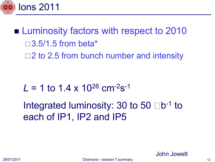

**Luminosity factors with respect to 2010**  $\Box$ 3.5/1.5 from beta\*  $\Box$  2 to 2.5 from bunch number and intensity

# $L = 1$  to 1.4 x 10<sup>26</sup> cm<sup>-2</sup>s<sup>-1</sup>

Integrated luminosity: 30 to 50  $\Box$ b<sup>-1</sup> to each of IP1, IP2 and IP5

John Jowett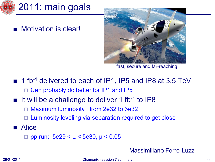

Motivation is clear!



fast, secure and far-reaching!

- 1 fb<sup>-1</sup> delivered to each of IP1, IP5 and IP8 at 3.5 TeV □ Can probably do better for IP1 and IP5
- $\blacksquare$  It will be a challenge to deliver 1 fb-1 to IP8
	- Maximum luminosity : from 2e32 to 3e32
	- □ Luminosity leveling via separation required to get close
- **Alice** 
	- □ pp run:  $5e29 < L < 5e30$ ,  $\mu < 0.05$

#### Massimiliano Ferro-Luzzi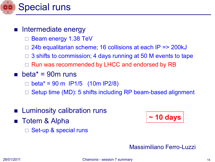

### **n** Intermediate energy

- Beam energy 1.38 TeV
- 24b equalitarian scheme; 16 collisions at each IP => 200kJ
- 3 shifts to commission; 4 days running at 50 M events to tape
- Run was recommended by LHCC and endorsed by RB
- **beta** $*$  = 90m runs
	- $beta^* = 90 \text{ m}$  IP1/5 (10m IP2/8)
	- Setup time (MD): 5 shifts including RP beam-based alignment
- **E** Luminosity calibration runs
- Totem & Alpha
	- Set-up & special runs

$$
\boxed{\sim 10 \text{ days}}
$$

#### Massimiliano Ferro-Luzzi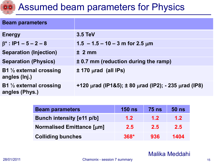

### Assumed beam parameters for Physics

| <b>Beam parameters</b>                               |                                                                     |
|------------------------------------------------------|---------------------------------------------------------------------|
| <b>Energy</b>                                        | $3.5 \text{ TeV}$                                                   |
| $\beta^*$ : IP1 – 5 – 2 – 8                          | $1.5 - 1.5 - 10 - 3$ m for 2.5 $\mu$ m                              |
| <b>Separation (Injection)</b>                        | ± 2 mm                                                              |
| <b>Separation (Physics)</b>                          | ± 0.7 mm (reduction during the ramp)                                |
| B1 $\frac{1}{2}$ external crossing<br>angles (lnj.)  | $\pm$ 170 $\mu$ rad (all IPs)                                       |
| B1 $\frac{1}{2}$ external crossing<br>angles (Phys.) | +120 $\mu$ rad (IP1&5); ± 80 $\mu$ rad (IP2); - 235 $\mu$ rad (IP8) |

| <b>Beam parameters</b>           | <b>150 ns</b> | <b>75 ns</b> | $50$ ns          |
|----------------------------------|---------------|--------------|------------------|
| <b>Bunch intensity [e11 p/b]</b> | 1.2           | 1.2          | 1.2 <sub>1</sub> |
| <b>Normalised Emittance [µm]</b> | 2.5           | 2.5          | 2.5              |
| <b>Colliding bunches</b>         | $368*$        | 936          | 1404             |

Malika Meddahi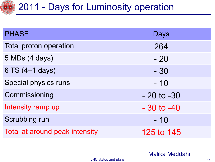# **42011 - Days for Luminosity operation**

| <b>PHASE</b>                   | Days           |
|--------------------------------|----------------|
| <b>Total proton operation</b>  | 264            |
| 5 MDs (4 days)                 | $-20$          |
| 6 TS (4+1 days)                | $-30$          |
| Special physics runs           | $-10$          |
| Commissioning                  | $-20$ to $-30$ |
| Intensity ramp up              | $-30$ to $-40$ |
| Scrubbing run                  | $-10$          |
| Total at around peak intensity | 125 to 145     |

Malika Meddahi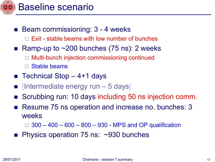

- Beam commissioning: 3 4 weeks Exit - stable beams with low number of bunches
- **Ramp-up to**  $\sim$ **200 bunches (75 ns): 2 weeks**  Multi-bunch injection commissioning continued Stable beams
- **E** Technical Stop  $-4+1$  days
- [Intermediate energy run 5 days]
- Scrubbing run: 10 days including 50 ns injection comm.
- Resume 75 ns operation and increase no. bunches: 3 weeks

300 – 400 – 600 – 800 – 930 - MPS and OP qualification

■ Physics operation 75 ns: ~930 bunches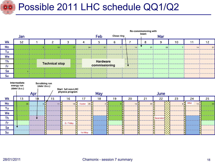# **Compared Possible 2011 LHC schedule QQ1/Q2**



#### 28/01/2011 Chamonix - session 7 summary 18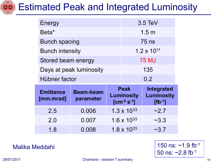

### Estimated Peak and Integrated Luminosity

| Energy                        |                               | $3.5 \text{ TeV}$ |                                                 |                                                       |
|-------------------------------|-------------------------------|-------------------|-------------------------------------------------|-------------------------------------------------------|
| Beta <sup>*</sup>             |                               | 1.5 <sub>m</sub>  |                                                 |                                                       |
| <b>Bunch spacing</b>          |                               | $75$ ns           |                                                 |                                                       |
| <b>Bunch intensity</b>        |                               |                   | $1.2 \times 10^{11}$                            |                                                       |
| Stored beam energy            |                               |                   | <b>75 MJ</b>                                    |                                                       |
| Days at peak luminosity       |                               |                   | 135                                             |                                                       |
|                               |                               | 0.2               |                                                 |                                                       |
| Hübner factor                 |                               |                   |                                                 |                                                       |
| <b>Emittance</b><br>[mm.mrad] | <b>Beam-beam</b><br>parameter |                   | Peak<br><b>Luminosity</b><br>$[cm^{-2} s^{-1}]$ | <b>Integrated</b><br><b>Luminosity</b><br>$[fb^{-1}]$ |
| 2.5                           | 0.006                         |                   | $1.3 \times 10^{33}$                            | ~2.7                                                  |
| 2.0                           | 0.007                         |                   | $1.6 \times 10^{33}$                            | ~23.3                                                 |

28/01/2011 Chamonix - session 7 summary 19

Malika Meddahi 150 ns: ~1.9 fb<sup>-1</sup> 50 ns: ~2.8 fb-1